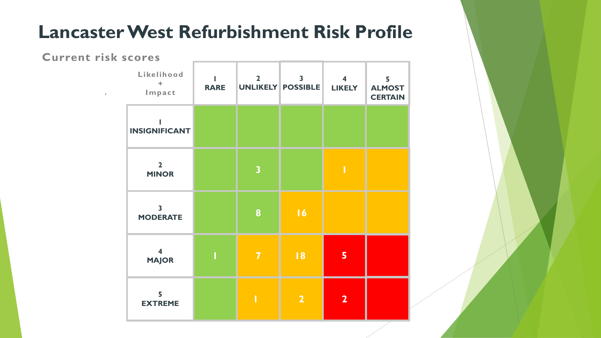## **Lancaster West Refurbishment Risk Profile**

## **Current risk scores**

.

| Likelihood<br>÷<br>Impact                  | <b>RARE</b> | $\overline{2}$          | $\overline{\mathbf{3}}$<br>UNLIKELY POSSIBLE | $\overline{\mathbf{4}}$<br><b>LIKELY</b> | 5<br><b>ALMOST</b><br><b>CERTAIN</b> |
|--------------------------------------------|-------------|-------------------------|----------------------------------------------|------------------------------------------|--------------------------------------|
| <b>INSIGNIFICANT</b>                       |             |                         |                                              |                                          |                                      |
| $\overline{2}$<br><b>MINOR</b>             |             | $\overline{\mathbf{3}}$ |                                              | Π                                        |                                      |
| $\overline{\mathbf{3}}$<br><b>MODERATE</b> |             | 8                       | 16                                           |                                          |                                      |
| $\overline{\mathbf{4}}$<br><b>MAJOR</b>    |             | $\overline{\mathbf{7}}$ | 8                                            | 5                                        |                                      |
| 5<br><b>EXTREME</b>                        |             |                         | $\overline{\mathbf{2}}$                      | $\overline{2}$                           |                                      |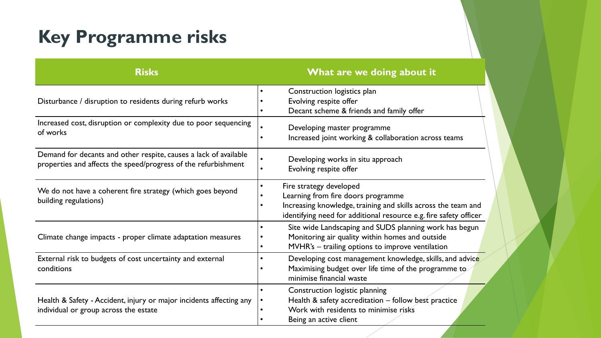## **Key Programme risks**

| <b>Risks</b>                                                                                                                       | What are we doing about it                                                                                                                                                                          |  |  |
|------------------------------------------------------------------------------------------------------------------------------------|-----------------------------------------------------------------------------------------------------------------------------------------------------------------------------------------------------|--|--|
| Disturbance / disruption to residents during refurb works                                                                          | Construction logistics plan<br>Evolving respite offer<br>Decant scheme & friends and family offer                                                                                                   |  |  |
| Increased cost, disruption or complexity due to poor sequencing<br>of works                                                        | Developing master programme<br>Increased joint working & collaboration across teams                                                                                                                 |  |  |
| Demand for decants and other respite, causes a lack of available<br>properties and affects the speed/progress of the refurbishment | Developing works in situ approach<br>Evolving respite offer                                                                                                                                         |  |  |
| We do not have a coherent fire strategy (which goes beyond<br>building regulations)                                                | Fire strategy developed<br>Learning from fire doors programme<br>Increasing knowledge, training and skills across the team and<br>identifying need for additional resource e.g. fire safety officer |  |  |
| Climate change impacts - proper climate adaptation measures                                                                        | Site wide Landscaping and SUDS planning work has begun<br>Monitoring air quality within homes and outside<br>MVHR's - trailing options to improve ventilation                                       |  |  |
| External risk to budgets of cost uncertainty and external<br>conditions                                                            | Developing cost management knowledge, skills, and advice<br>Maximising budget over life time of the programme to<br>minimise financial waste                                                        |  |  |
| Health & Safety - Accident, injury or major incidents affecting any<br>individual or group across the estate                       | Construction logistic planning<br>Health & safety accreditation - follow best practice<br>Work with residents to minimise risks<br>Being an active client                                           |  |  |